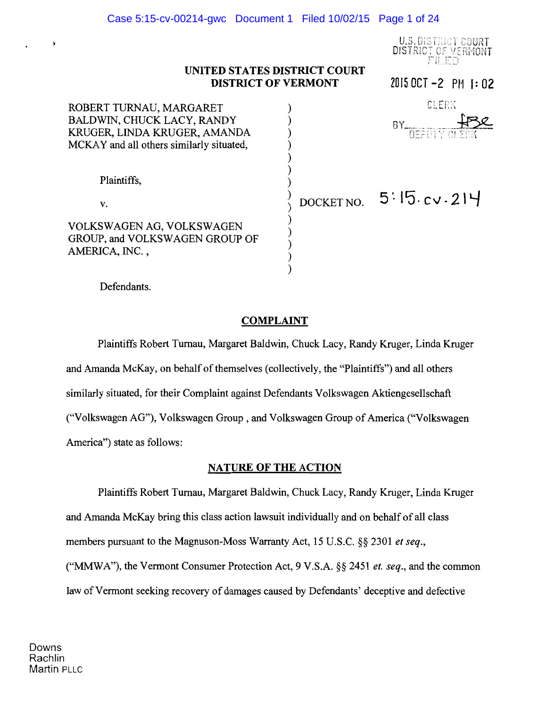U.S. DISTRICT COURT DISTRICT OF VERMONT FILED

20150CT-2 Pt11:02

## **UNITED STATES DISTRICT COURT DISTRICT OF VERMONT**

| ROBERT TURNAU, MARGARET<br>BALDWIN, CHUCK LACY, RANDY<br>KRUGER, LINDA KRUGER, AMANDA<br>MCKAY and all others similarly situated, | CLERK<br>RΥ<br>DEPUTY CLERK |
|-----------------------------------------------------------------------------------------------------------------------------------|-----------------------------|
| Plaintiffs,<br>V.<br>VOLKSWAGEN AG, VOLKSWAGEN<br>GROUP, and VOLKSWAGEN GROUP OF<br>AMERICA, INC. ,                               | DOCKET NO. $5:15.cv.214$    |

Defendants.

## **COMPLAINT**

Plaintiffs Robert Tumau, Margaret Baldwin, Chuck Lacy, Randy Kruger, Linda Kruger and Amanda McKay, on behalf of themselves (collectively, the "Plaintiffs") and all others similarly situated, for their Complaint against Defendants Volkswagen Aktiengesellschaft ("Volkswagen AG"), Volkswagen Group , and Volkswagen Group of America ("Volkswagen America") state as follows:

## **NATURE OF THE ACTION**

Plaintiffs Robert Tumau, Margaret Baldwin, Chuck Lacy, Randy Kruger, Linda Kruger and Amanda McKay bring this class action lawsuit individually and on behalf of all class members pursuant to the Magnuson-Moss Warranty Act, 15 U.S.C. §§ 2301 *et seq.,*  ("MMWA"), the Vermont Consumer Protection Act, 9 V.S.A. §§ 2451 *et. seq.,* and the common law of Vermont seeking recovery of damages caused by Defendants' deceptive and defective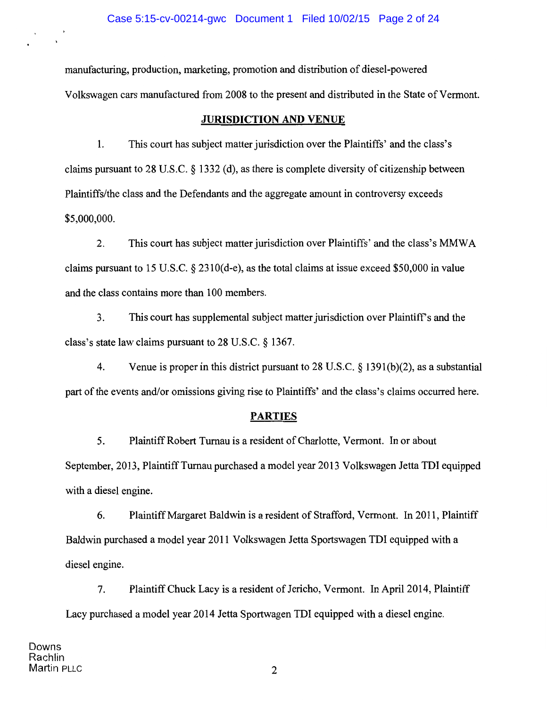manufacturing, production, marketing, promotion and distribution of diesel-powered Volkswagen cars manufactured from 2008 to the present and distributed in the State of Vermont.

## **JURISDICTION AND VENUE**

**1.** This court has subject matter jurisdiction over the Plaintiffs' and the class's claims pursuant to 28 U.S.C. § 1332 (d), as there is complete diversity of citizenship between Plaintiffs/the class and the Defendants and the aggregate amount in controversy exceeds \$5,000,000.

2. This court has subject matter jurisdiction over Plaintiffs' and the class's MMWA claims pursuant to 15 U.S.C. § 2310(d-e), as the total claims at issue exceed \$50,000 in value and the class contains more than 1 00 members.

3. This court has supplemental subject matter jurisdiction over Plaintiffs and the class's state law claims pursuant to 28 U.S.C. § 1367.

4. Venue is proper in this district pursuant to 28 U.S.C. § 1391(b)(2), as a substantial part of the events and/or omissions giving rise to Plaintiffs' and the class's claims occurred here.

# **PARTIES**

5. Plaintiff Robert Turnau is a resident of Charlotte, Vermont. In or about September, 2013, Plaintiff Turnau purchased a model year 2013 Volkswagen Jetta TDI equipped with a diesel engine.

6. Plaintiff Margaret Baldwin is a resident of Strafford, Vermont. In 2011, Plaintiff Baldwin purchased a model year 2011 Volkswagen Jetta Sportswagen TDI equipped with a diesel engine.

7. Plaintiff Chuck Lacy is a resident of Jericho, Vermont. In April2014, Plaintiff Lacy purchased a model year 2014 Jetta Sportwagen TDI equipped with a diesel engine.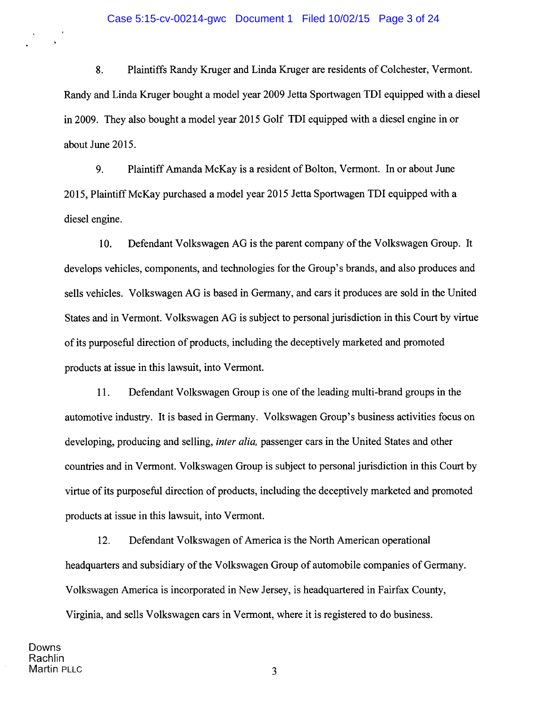#### Case 5:15-cv-00214-gwc Document 1 Filed 10/02/15 Page 3 of 24

8. Plaintiffs Randy Kruger and Linda Kruger are residents of Colchester, Vermont. Randy and Linda Kruger bought a model year 2009 Jetta Sportwagen TDI equipped with a diesel in 2009. They also bought a model year 2015 Golf TDI equipped with a diesel engine in or about June 2015.

9. Plaintiff Amanda McKay is a resident of Bolton, Vermont. In or about June 2015, Plaintiff McKay purchased a model year 2015 Jetta Sportwagen TDI equipped with a diesel engine.

10. Defendant Volkswagen AG is the parent company of the Volkswagen Group. It develops vehicles, components, and technologies for the Group's brands, and also produces and sells vehicles. Volkswagen AG is based in Germany, and cars it produces are sold in the United States and in Vermont. Volkswagen AG is subject to personal jurisdiction in this Court by virtue of its purposeful direction of products, including the deceptively marketed and promoted products at issue in this lawsuit, into Vermont.

11. Defendant Volkswagen Group is one ofthe leading multi-brand groups in the automotive industry. It is based in Germany. Volkswagen Group's business activities focus on developing, producing and selling, *inter alia,* passenger cars in the United States and other countries and in Vermont. Volkswagen Group is subject to personal jurisdiction in this Court by virtue of its purposeful direction of products, including the deceptively marketed and promoted products at issue in this lawsuit, into Vermont.

12. Defendant Volkswagen of America is the North American operational headquarters and subsidiary of the Volkswagen Group of automobile companies of Germany. Volkswagen America is incorporated in New Jersey, is headquartered in Fairfax County, Virginia, and sells Volkswagen cars in Vermont, where it is registered to do business.

 $\mathbf{r}$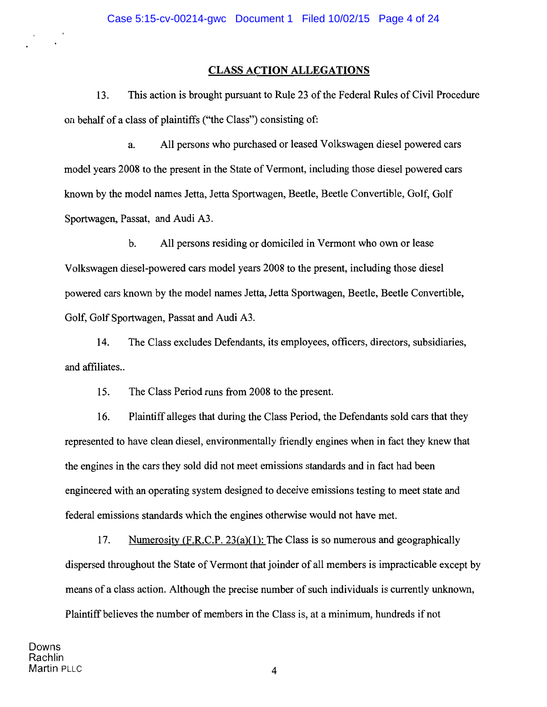## **CLASS ACTION ALLEGATIONS**

13. This action is brought pursuant to Rule 23 of the Federal Rules of Civil Procedure on behalf of a class of plaintiffs ("the Class") consisting of:

a. All persons who purchased or leased Volkswagen diesel powered cars model years 2008 to the present in the State of Vermont, including those diesel powered cars known by the model names Jetta, Jetta Sportwagen, Beetle, Beetle Convertible, Golf, Golf Sportwagen, Passat, and Audi A3.

b. All persons residing or domiciled in Vermont who own or lease Volkswagen diesel-powered cars model years 2008 to the present, including those diesel powered cars known by the model names Jetta, Jetta Sportwagen, Beetle, Beetle Convertible, Golf, Golf Sportwagen, Passat and Audi A3.

14. The Class excludes Defendants, its employees, officers, directors, subsidiaries, and affiliates..

15. The Class Period runs from 2008 to the present.

16. Plaintiff alleges that during the Class Period, the Defendants sold cars that they represented to have clean diesel, environmentally friendly engines when in fact they knew that the engines in the cars they sold did not meet emissions standards and in fact had been engineered with an operating system designed to deceive emissions testing to meet state and federal emissions standards which the engines otherwise would not have met.

17. Numerosity  $(F.R.C.P. 23(a)(1))$ : The Class is so numerous and geographically dispersed throughout the State of Vermont that joinder of all members is impracticable except by means of a class action. Although the precise number of such individuals is currently unknown, Plaintiff believes the number of members in the Class is, at a minimum, hundreds if not

Downs Rachlin Martin PLLC 4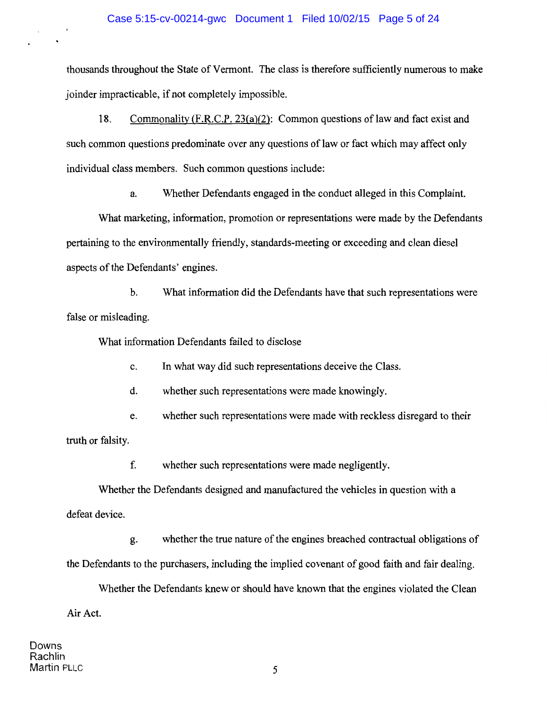thousands throughout the State of Vermont. The class is therefore sufficiently numerous to make joinder impracticable, if not completely impossible.

18. Commonality  $(F.R.C.P. 23(a)(2))$ : Common questions of law and fact exist and such common questions predominate over any questions of law or fact which may affect only individual class members. Such common questions include:

a. Whether Defendants engaged in the conduct alleged in this Complaint.

What marketing, information, promotion or representations were made by the Defendants pertaining to the environmentally friendly, standards-meeting or exceeding and clean diesel aspects of the Defendants' engines.

b. What information did the Defendants have that such representations were false or misleading.

What information Defendants failed to disclose

c. In what way did such representations deceive the Class.

d. whether such representations were made knowingly.

e. whether such representations were made with reckless disregard to their truth or falsity.

f. whether such representations were made negligently.

Whether the Defendants designed and manufactured the vehicles in question with a defeat device.

g. whether the true nature of the engines breached contractual obligations of the Defendants to the purchasers, including the implied covenant of good faith and fair dealing.

Whether the Defendants knew or should have known that the engines violated the Clean Air Act.

Downs Rachlin Martin PLLC 5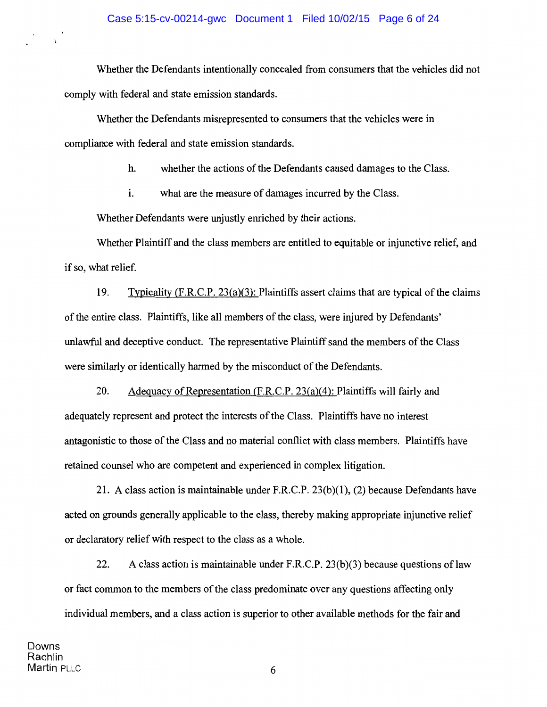Whether the Defendants intentionally concealed from consumers that the vehicles did not comply with federal and state emission standards.

Whether the Defendants misrepresented to consumers that the vehicles were in compliance with federal and state emission standards.

h. whether the actions of the Defendants caused damages to the Class.

1. what are the measure of damages incurred by the Class.

Whether Defendants were unjustly enriched by their actions.

Whether Plaintiff and the class members are entitled to equitable or injunctive relief, and if so, what relief.

19. Typicality (F.R.C.P. 23(a)(3): Plaintiffs assert claims that are typical of the claims of the entire class. Plaintiffs, like all members of the class, were injured by Defendants' unlawful and deceptive conduct. The representative Plaintiff sand the members of the Class were similarly or identically harmed by the misconduct of the Defendants.

20. Adequacy of Representation (F.R.C.P. 23(a)(4): Plaintiffs will fairly and adequately represent and protect the interests of the Class. Plaintiffs have no interest antagonistic to those of the Class and no material conflict with class members. Plaintiffs have retained counsel who are competent and experienced in complex litigation.

21. A class action is maintainable under F.R.C.P. 23(b)(l), (2) because Defendants have acted on grounds generally applicable to the class, thereby making appropriate injunctive relief or declaratory relief with respect to the class as a whole.

22. A class action is maintainable under F.R.C.P.  $23(b)(3)$  because questions of law or fact common to the members of the class predominate over any questions affecting only individual members, and a class action is superior to other available methods for the fair and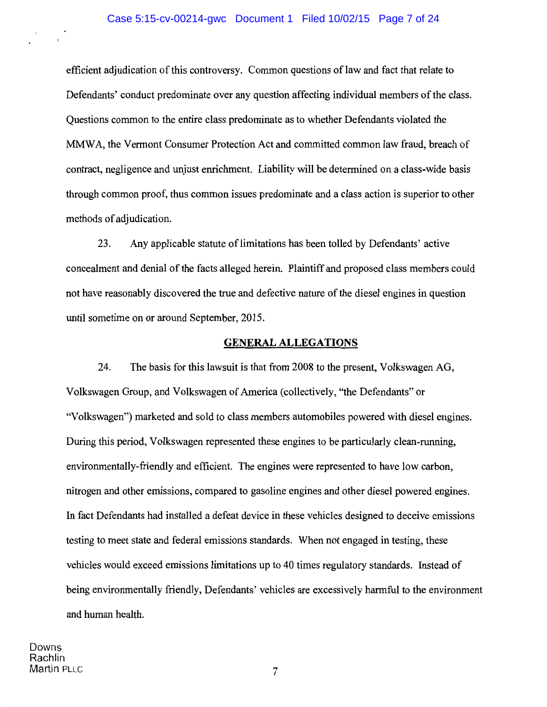#### Case 5:15-cv-00214-gwc Document 1 Filed 10/02/15 Page 7 of 24

efficient adjudication of this controversy. Common questions of law and fact that relate to Defendants' conduct predominate over any question affecting individual members of the class. Questions common to the entire class predominate as to whether Defendants violated the MMW A, the Vermont Consumer Protection Act and committed common law fraud, breach of contract, negligence and unjust enrichment. Liability will be determined on a class-wide basis through common proof, thus common issues predominate and a class action is superior to other methods of adjudication.

23. Any applicable statute of limitations has been tolled by Defendants' active concealment and denial of the facts alleged herein. Plaintiff and proposed class members could not have reasonably discovered the true and defective nature of the diesel engines in question until sometime on or around September, 2015.

## **GENERAL ALLEGATIONS**

24. The basis for this lawsuit is that from 2008 to the present, Volkswagen AG, Volkswagen Group, and Volkswagen of America (collectively, "the Defendants" or "Volkswagen") marketed and sold to class members automobiles powered with diesel engines. During this period, Volkswagen represented these engines to be particularly clean-running, environmentally-friendly and efficient. The engines were represented to have low carbon, nitrogen and other emissions, compared to gasoline engines and other diesel powered engines. In fact Defendants had installed a defeat device in these vehicles designed to deceive emissions testing to meet state and federal emissions standards. When not engaged in testing, these vehicles would exceed emissions limitations up to 40 times regulatory standards. Instead of being environmentally friendly, Defendants' vehicles are excessively harmful to the environment and human health.

Downs Rachlin Martin PLLC 7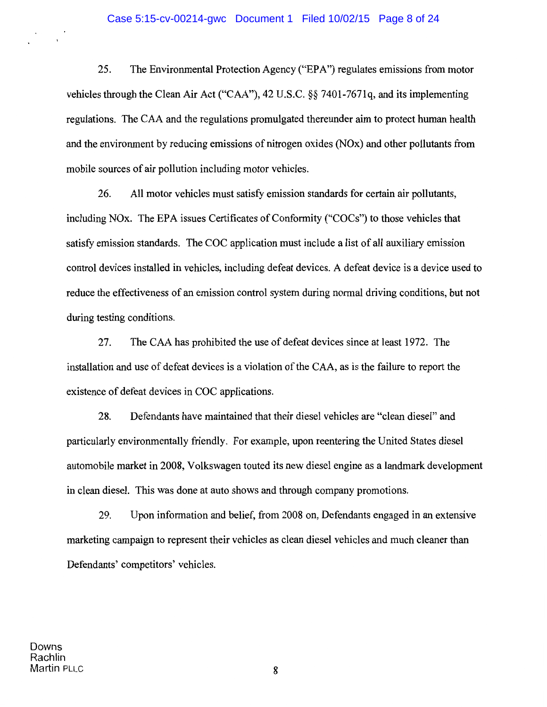25. The Environmental Protection Agency ("EPA") regulates emissions from motor vehicles through the Clean Air Act ("CAA''), 42 U.S.C. §§ 7401-7671q, and its implementing regulations. The CAA and the regulations promulgated thereunder aim to protect human health and the environment by reducing emissions of nitrogen oxides (NOx) and other pollutants from mobile sources of air pollution including motor vehicles.

26. All motor vehicles must satisfy emission standards for certain air pollutants, including NOx. The EPA issues Certificates of Conformity ("COCs") to those vehicles that satisfy emission standards. The COC application must include a list of all auxiliary emission control devices installed in vehicles, including defeat devices. A defeat device is a device used to reduce the effectiveness of an emission control system during normal driving conditions, but not during testing conditions.

27. The CAA has prohibited the use of defeat devices since at least 1972. The installation and use of defeat devices is a violation of the CAA, as is the failure to report the existence of defeat devices in COC applications.

28. Defendants have maintained that their diesel vehicles are "clean diesel" and particularly environmentally friendly. For example, upon reentering the United States diesel automobile market in 2008, Volkswagen touted its new diesel engine as a landmark development in clean diesel. This was done at auto shows and through company promotions.

29. Upon information and belief, from 2008 on, Defendants engaged in an extensive marketing campaign to represent their vehicles as clean diesel vehicles and much cleaner than Defendants' competitors' vehicles.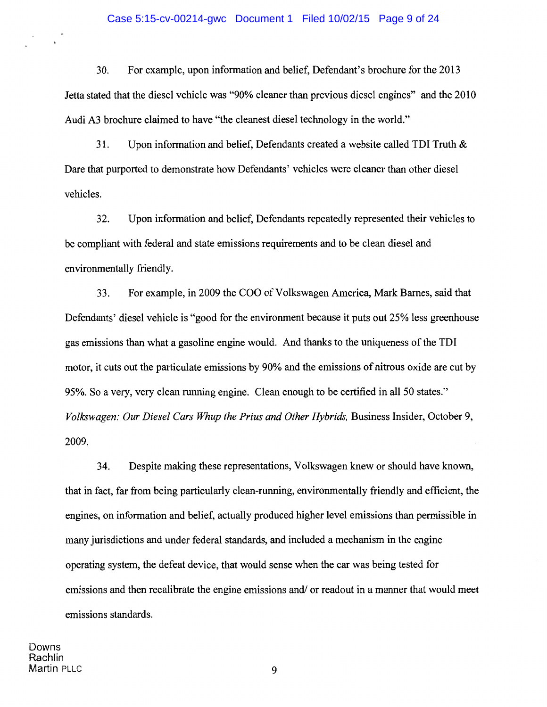#### Case 5:15-cv-00214-gwc Document 1 Filed 10/02/15 Page 9 of 24

30. For example, upon information and belief, Defendant's brochure for the 2013 Jetta stated that the diesel vehicle was "90% cleaner than previous diesel engines" and the 2010 Audi A3 brochure claimed to have "the cleanest diesel technology in the world."

31. Upon information and belief, Defendants created a website called TDI Truth  $\&$ Dare that purported to demonstrate how Defendants' vehicles were cleaner than other diesel vehicles.

32. Upon information and belief, Defendants repeatedly represented their vehicles to be compliant with federal and state emissions requirements and to be clean diesel and environmentally friendly.

33. For example, in 2009 the COO of Volkswagen America, Mark Barnes, said that Defendants' diesel vehicle is "good for the environment because it puts out 25% less greenhouse gas emissions than what a gasoline engine would. And thanks to the uniqueness of the TDI motor, it cuts out the particulate emissions by 90% and the emissions of nitrous oxide are cut by 95%. So a very, very clean running engine. Clean enough to be certified in all 50 states." *Volkswagen: Our Diesel Cars Whup the Prius and Other Hybrids,* Business Insider, October 9, 2009.

34. Despite making these representations, Volkswagen knew or should have known, that in fact, far from being particularly clean-running, environmentally friendly and efficient, the engines, on information and belief, actually produced higher level emissions than permissible in many jurisdictions and under federal standards, and included a mechanism in the engine operating system, the defeat device, that would sense when the car was being tested for emissions and then recalibrate the engine emissions and/ or readout in a manner that would meet emissions standards.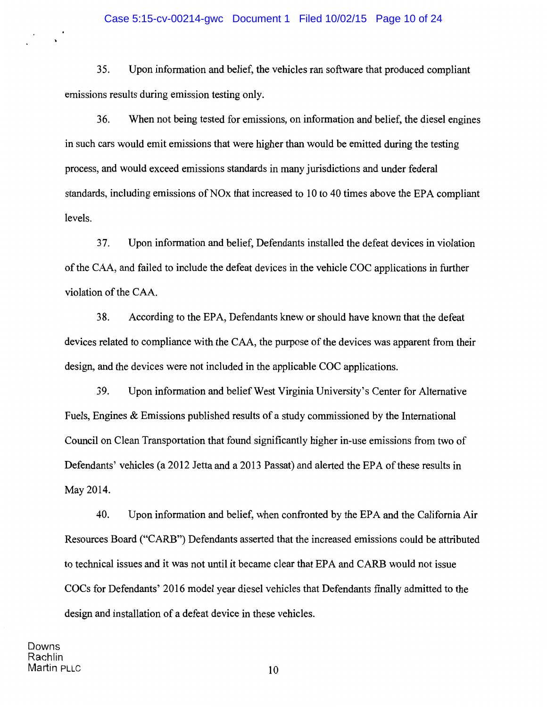35. Upon information and belief, the vehicles ran software that produced compliant emissions results during emission testing only.

36. When not being tested for emissions, on information and belief, the diesel engines in such cars would emit emissions that were higher than would be emitted during the testing process, and would exceed emissions standards in many jurisdictions and under federal standards, including emissions of NO<sub>x</sub> that increased to 10 to 40 times above the EPA compliant levels.

37. Upon information and belief, Defendants installed the defeat devices in violation of the CAA, and failed to include the defeat devices in the vehicle COC applications in further violation of the CAA.

38. According to the EPA, Defendants knew or should have known that the defeat devices related to compliance with the CAA, the purpose of the devices was apparent from their design, and the devices were not included in the applicable COC applications.

39. Upon information and belief West Virginia University's Center for Alternative Fuels, Engines & Emissions published results of a study commissioned by the International Council on Clean Transportation that found significantly higher in-use emissions from two of Defendants' vehicles (a 2012 Jetta and a 2013 Passat) and alerted the EPA of these results in May2014.

40. Upon information and belief, when confronted by the EPA and the California Air Resources Board ("CARB") Defendants asserted that the increased emissions could be attributed to technical issues and it was not until it became clear that EPA and CARB would not issue COCs for Defendants' 2016 model year diesel vehicles that Defendants finally admitted to the design and installation of a defeat device in these vehicles.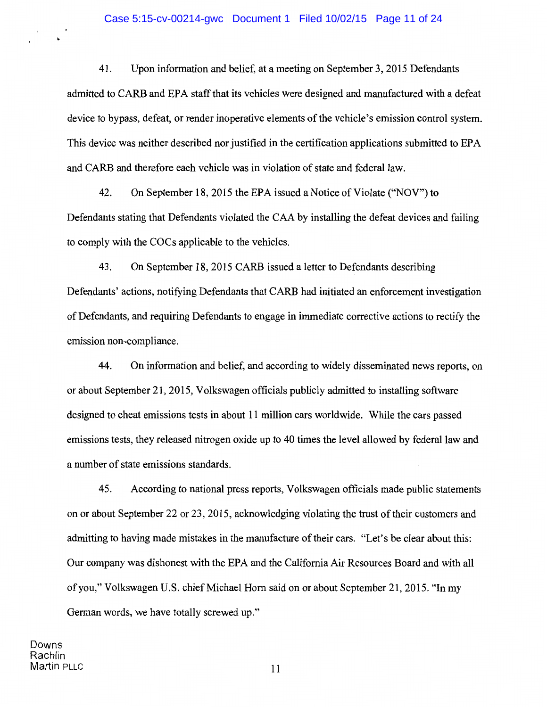#### Case 5:15-cv-00214-gwc Document 1 Filed 10/02/15 Page 11 of 24

41. Upon information and belief, at a meeting on September 3, 2015 Defendants admitted to CARB and EPA staff that its vehicles were designed and manufactured with a defeat device to bypass, defeat, or render inoperative elements of the vehicle's emission control system. This device was neither described nor justified in the certification applications submitted to EPA and CARB and therefore each vehicle was in violation of state and federal law.

42. On September 18, 2015 the EPA issued a Notice of Violate ("NOV") to Defendants stating that Defendants violated the CAA by installing the defeat devices and failing to comply with the COCs applicable to the vehicles.

43. On September 18, 2015 CARB issued a letter to Defendants describing Defendants' actions, notifying Defendants that CARB had initiated an enforcement investigation of Defendants, and requiring Defendants to engage in immediate corrective actions to rectify the emission non-compliance.

44. On information and belief, and according to widely disseminated news reports, on or about September 21, 2015, Volkswagen officials publicly admitted to installing software designed to cheat emissions tests in about 11 million cars worldwide. While the cars passed emissions tests, they released nitrogen oxide up to 40 times the level allowed by federal law and a number of state emissions standards.

45. According to national press reports, Volkswagen officials made public statements on or about September 22 or 23, 2015, acknowledging violating the trust of their customers and admitting to having made mistakes in the manufacture of their cars. "Let's be clear about this: Our company was dishonest with the EPA and the California Air Resources Board and with all of you," Volkswagen U.S. chief Michael Hom said on or about September 21, 2015. "In my German words, we have totally screwed up."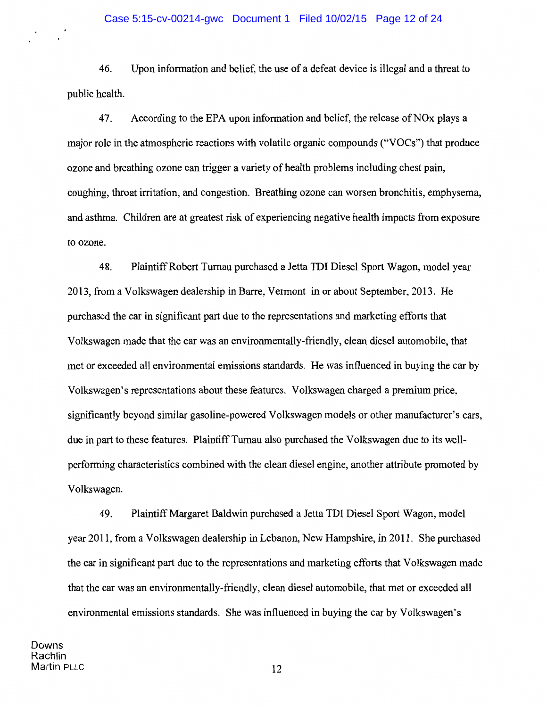46. Upon information and belief, the use of a defeat device is illegal and a threat to public health.

47. According to the EPA upon information and belief, the release of NO<sub>x</sub> plays a major role in the atmospheric reactions with volatile organic compounds ("VOCs") that produce ozone and breathing ozone can trigger a variety of health problems including chest pain, coughing, throat irritation, and congestion. Breathing ozone can worsen bronchitis, emphysema, and asthma. Children are at greatest risk of experiencing negative health impacts from exposure to ozone.

48. Plaintiff Robert Tumau purchased a Jetta TDI Diesel Sport Wagon, model year 2013, from a Volkswagen dealership in Barre, Vermont in or about September, 2013. He purchased the car in significant part due to the representations and marketing efforts that Volkswagen made that the car was an environmentally-friendly, clean diesel automobile, that met or exceeded all environmental emissions standards. He was influenced in buying the car by Volkswagen's representations about these features. Volkswagen charged a premium price, significantly beyond similar gasoline-powered Volkswagen models or other manufacturer's cars, due in part to these features. Plaintiff Turnau also purchased the Volkswagen due to its wellperforming characteristics combined with the clean diesel engine, another attribute promoted by Volkswagen.

49. Plaintiff Margaret Baldwin purchased a Jetta TDI Diesel Sport Wagon, model year 2011, from a Volkswagen dealership in Lebanon, New Hampshire, in 2011. She purchased the car in significant part due to the representations and marketing efforts that Volkswagen made that the car was an environmentally-friendly, clean diesel automobile, that met or exceeded all environmental emissions standards. She was influenced in buying the car by Volkswagen's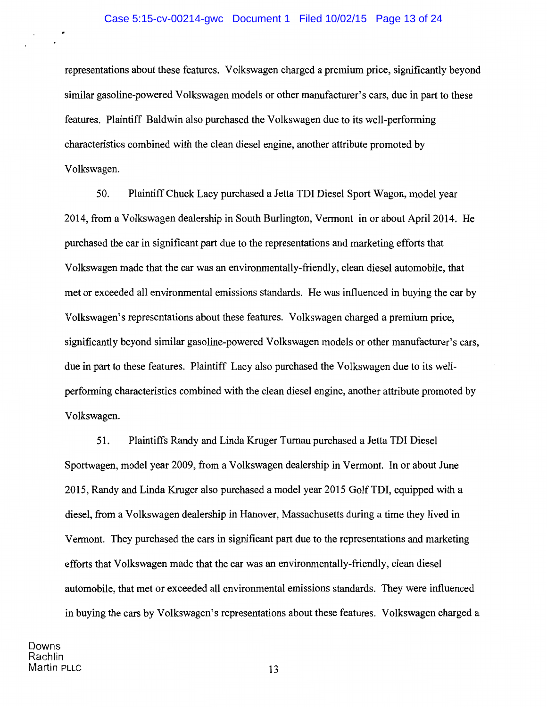representations about these features. Volkswagen charged a premium price, significantly beyond similar gasoline-powered Volkswagen models or other manufacturer's cars, due in part to these features. Plaintiff Baldwin also purchased the Volkswagen due to its well-performing characteristics combined with the clean diesel engine, another attribute promoted by Volkswagen.

50. Plaintiff Chuck Lacy purchased a Jetta TDI Diesel Sport Wagon, model year 2014, from a Volkswagen dealership in South Burlington, Vermont in or about April2014. He purchased the car in significant part due to the representations and marketing efforts that Volkswagen made that the car was an environmentally-friendly, clean diesel automobile, that met or exceeded all environmental emissions standards. He was influenced in buying the car by Volkswagen's representations about these features. Volkswagen charged a premium price, significantly beyond similar gasoline-powered Volkswagen models or other manufacturer's cars, due in part to these features. Plaintiff Lacy also purchased the Volkswagen due to its wellperforming characteristics combined with the clean diesel engine, another attribute promoted by Volkswagen.

51. Plaintiffs Randy and Linda Kruger Turnau purchased a Jetta TDI Diesel Sportwagen, model year 2009, from a Volkswagen dealership in Vermont. In or about June 2015, Randy and Linda Kruger also purchased a model year 2015 GolfTDI, equipped with a diesel, from a Volkswagen dealership in Hanover, Massachusetts during a time they lived in Vermont. They purchased the cars in significant part due to the representations and marketing efforts that Volkswagen made that the car was an environmentally-friendly, clean diesel automobile, that met or exceeded all environmental emissions standards. They were influenced in buying the cars by Volkswagen's representations about these features. Volkswagen charged a

Downs Rachlin Martin PLLC 13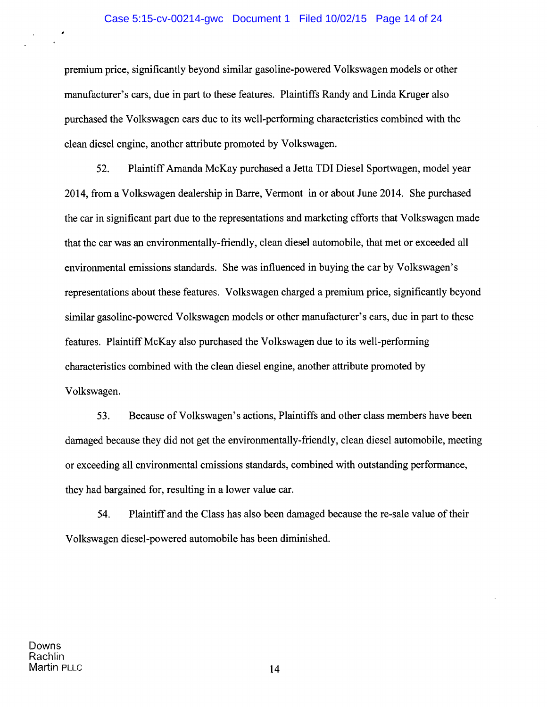#### Case 5:15-cv-00214-gwc Document 1 Filed 10/02/15 Page 14 of 24

premium price, significantly beyond similar gasoline-powered Volkswagen models or other manufacturer's cars, due in part to these features. Plaintiffs Randy and Linda Kruger also purchased the Volkswagen cars due to its well-performing characteristics combined with the clean diesel engine, another attribute promoted by Volkswagen.

52. Plaintiff Amanda McKay purchased a Jetta TDI Diesel Sportwagen, model year 2014, from a Volkswagen dealership in Barre, Vermont in or about June 2014. She purchased the car in significant part due to the representations and marketing efforts that Volkswagen made that the car was an environmentally-friendly, clean diesel automobile, that met or exceeded all environmental emissions standards. She was influenced in buying the car by Volkswagen's representations about these features. Volkswagen charged a premium price, significantly beyond similar gasoline-powered Volkswagen models or other manufacturer's cars, due in part to these features. Plaintiff McKay also purchased the Volkswagen due to its well-performing characteristics combined with the clean diesel engine, another attribute promoted by Volkswagen.

53. Because of Volkswagen's actions, Plaintiffs and other class members have been damaged because they did not get the environmentally-friendly, clean diesel automobile, meeting or exceeding all environmental emissions standards, combined with outstanding performance, they had bargained for, resulting in a lower value car.

54. Plaintiff and the Class has also been damaged because the re-sale value oftheir Volkswagen diesel-powered automobile has been diminished.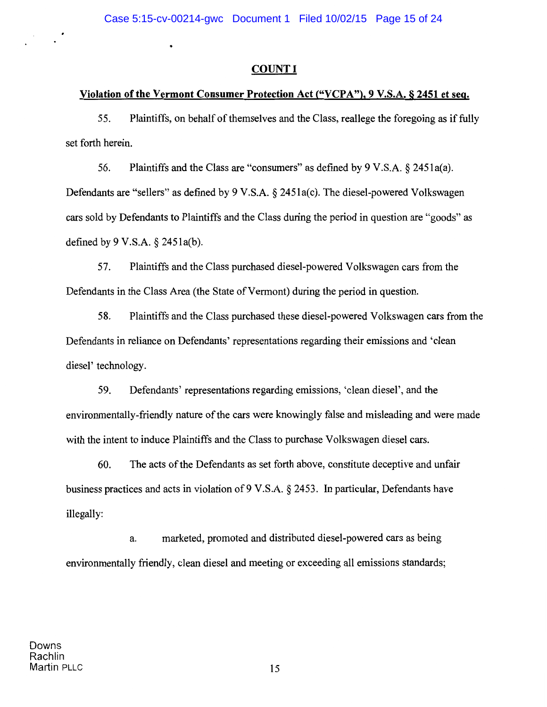$\bullet$ 

# **COUNT I**

# Violation of the Vermont Consumer Protection Act ("VCPA"), 9 V.S.A. § 2451 et seq.

55. Plaintiffs, on behalf of themselves and the Class, reallege the foregoing as if fully set forth herein.

56. Plaintiffs and the Class are "consumers" as defined by 9 V.S.A. § 2451a(a). Defendants are "sellers" as defined by 9 V.S.A. § 2451a(c). The diesel-powered Volkswagen cars sold by Defendants to Plaintiffs and the Class during the period in question are "goods" as defined by 9 V.S.A. § 2451a(b).

57. Plaintiffs and the Class purchased diesel-powered Volkswagen cars from the Defendants in the Class Area (the State of Vermont) during the period in question.

58. Plaintiffs and the Class purchased these diesel-powered Volkswagen cars from the Defendants in reliance on Defendants' representations regarding their emissions and 'clean diesel' technology.

59. Defendants' representations regarding emissions, 'clean diesel', and the environmentally-friendly nature of the cars were knowingly false and misleading and were made with the intent to induce Plaintiffs and the Class to purchase Volkswagen diesel cars.

60. The acts of the Defendants as set forth above, constitute deceptive and unfair business practices and acts in violation of9 V.S.A. § 2453. In particular, Defendants have illegally:

a. marketed, promoted and distributed diesel-powered cars as being environmentally friendly, clean diesel and meeting or exceeding all emissions standards;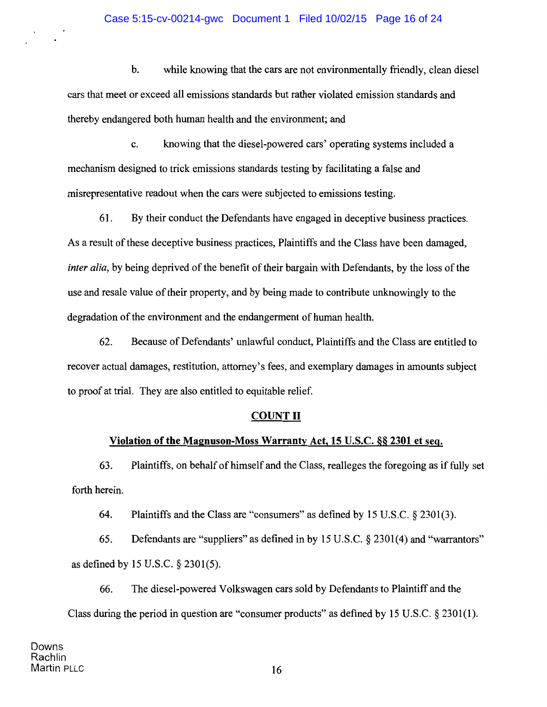b. while knowing that the cars are not environmentally friendly, clean diesel cars that meet or exceed all emissions standards but rather violated emission standards and thereby endangered both human health and the environment; and

c. knowing that the diesel-powered cars' operating systems included a mechanism designed to trick emissions standards testing by facilitating a false and misrepresentative readout when the cars were subjected to emissions testing.

61. By their conduct the Defendants have engaged in deceptive business practices. As a result of these deceptive business practices, Plaintiffs and the Class have been damaged, *inter alia,* by being deprived of the benefit of their bargain with Defendants, by the loss of the use and resale value of their property, and by being made to contribute unknowingly to the degradation of the environment and the endangerment of human health.

62. Because of Defendants' unlawful conduct, Plaintiffs and the Class are entitled to recover actual damages, restitution, attorney's fees, and exemplary damages in amounts subject to proof at trial. They are also entitled to equitable relief.

# COUNT II

# Violation of the Magnuson-Moss Warranty Act, 15 U.S.C. §§ 2301 et seq.

63. Plaintiffs, on behalf of himself and the Class, realleges the foregoing as if fully set forth herein.

64. Plaintiffs and the Class are "consumers" as defined by 15 U.S.C. § 2301(3).

65. Defendants are "suppliers" as defined in by 15 U.S.C. § 2301(4) and "warrantors" as defined by 15 U.S.C. § 2301(5).

66. The diesel-powered Volkswagen cars sold by Defendants to Plaintiff and the Class during the period in question are "consumer products" as defined by 15 U.S.C. § 2301(1).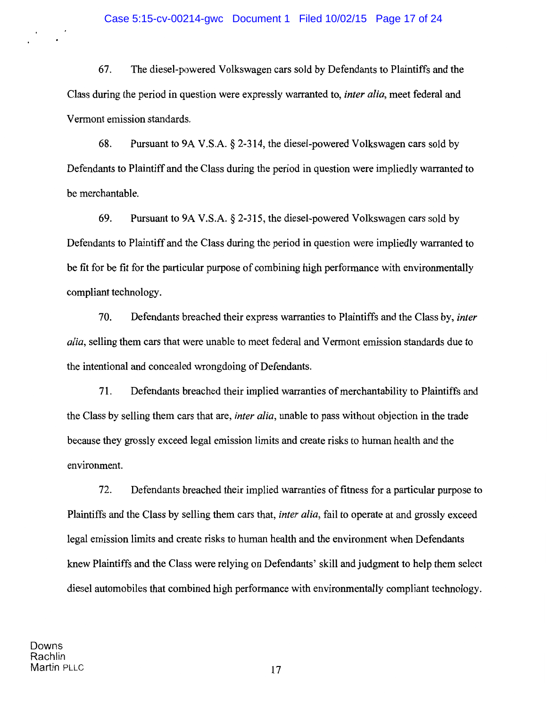67. The diesel-powered Volkswagen cars sold by Defendants to Plaintiffs and the Class during the period in question were expressly warranted to, *inter alia,* meet federal and Vermont emission standards.

68. Pursuant to 9A V.S.A. § 2-314, the diesel-powered Volkswagen cars sold by Defendants to Plaintiff and the Class during the period in question were impliedly warranted to be merchantable.

69. Pursuant to 9A V.S.A. § 2-315, the diesel-powered Volkswagen cars sold by Defendants to Plaintiff and the Class during the period in question were impliedly warranted to be fit for be fit for the particular purpose of combining high performance with environmentally compliant technology.

70. Defendants breached their express warranties to Plaintiffs and the Class by, *inter alia,* selling them cars that were unable to meet federal and Vermont emission standards due to the intentional and concealed wrongdoing of Defendants.

71. Defendants breached their implied warranties of merchantability to Plaintiffs and the Class by selling them cars that are, *inter alia,* unable to pass without objection in the trade because they grossly exceed legal emission limits and create risks to human health and the environment.

72. Defendants breached their implied warranties of fitness for a particular purpose to Plaintiffs and the Class by selling them cars that, *inter alia,* fail to operate at and grossly exceed legal emission limits and create risks to human health and the environment when Defendants knew Plaintiffs and the Class were relying on Defendants' skill and judgment to help them select diesel automobiles that combined high performance with environmentally compliant technology.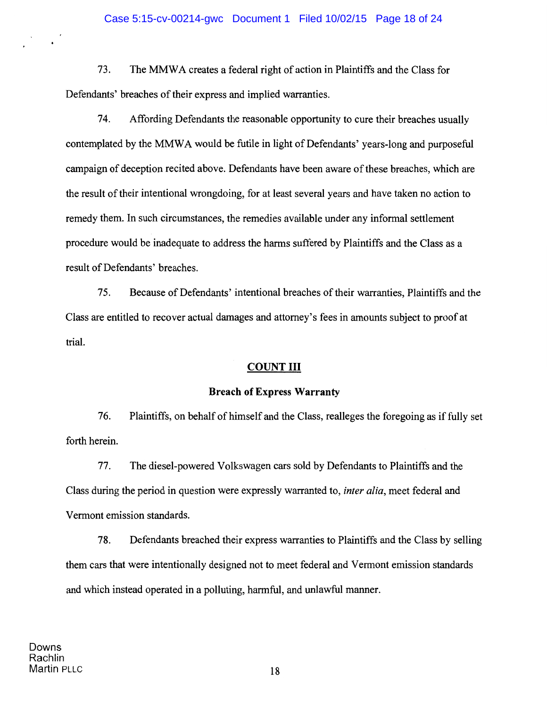73. The MMWA creates a federal right of action in Plaintiffs and the Class for Defendants' breaches of their express and implied warranties.

74. Affording Defendants the reasonable opportunity to cure their breaches usually contemplated by the MMWA would be futile in light of Defendants' years-long and purposeful campaign of deception recited above. Defendants have been aware of these breaches, which are the result of their intentional wrongdoing, for at least several years and have taken no action to remedy them. In such circumstances, the remedies available under any informal settlement procedure would be inadequate to address the harms suffered by Plaintiffs and the Class as a result of Defendants' breaches.

75. Because of Defendants' intentional breaches of their warranties, Plaintiffs and the Class are entitled to recover actual damages and attorney's fees in amounts subject to proof at trial.

### **COUNT III**

#### **Breach ofExpress Warranty**

76. Plaintiffs, on behalf of himself and the Class, realleges the foregoing as if fully set forth herein.

77. The diesel-powered Volkswagen cars sold by Defendants to Plaintiffs and the Class during the period in question were expressly warranted to, *inter alia,* meet federal and Vermont emission standards.

78. Defendants breached their express warranties to Plaintiffs and the Class by selling them cars that were intentionally designed not to meet federal and Vermont emission standards and which instead operated in a polluting, harmful, and unlawful manner.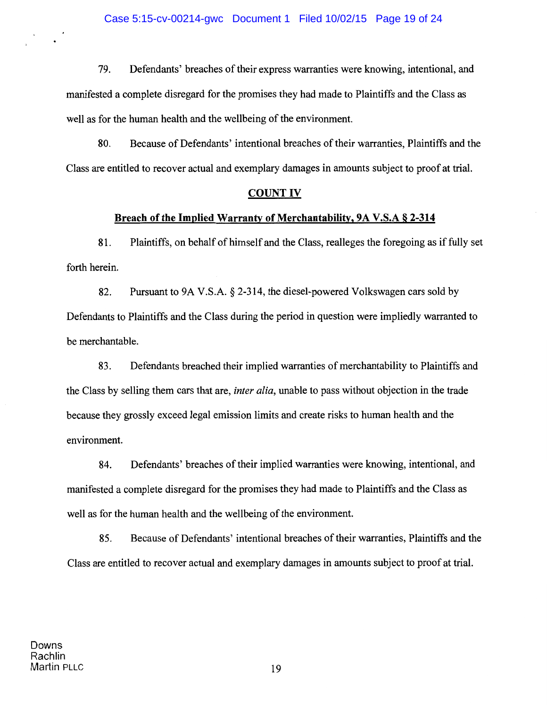79. Defendants' breaches of their express warranties were knowing, intentional, and manifested a complete disregard for the promises they had made to Plaintiffs and the Class as well as for the human health and the wellbeing of the environment.

80. Because of Defendants' intentional breaches of their warranties, Plaintiffs and the Class are entitled to recover actual and exemplary damages in amounts subject to proof at trial.

#### **COUNT IV**

### **Breach of the Implied Warranty of Merchantability,** 9A V.S.A § **2-314**

81. Plaintiffs, on behalf of himself and the Class, realleges the foregoing as if fully set forth herein.

82. Pursuant to 9A V.S.A. § 2-314, the diesel-powered Volkswagen cars sold by Defendants to Plaintiffs and the Class during the period in question were impliedly warranted to be merchantable.

83. Defendants breached their implied warranties of merchantability to Plaintiffs and the Class by selling them cars that are, *inter alia,* unable to pass without objection in the trade because they grossly exceed legal emission limits and create risks to human health and the environment.

84. Defendants' breaches of their implied warranties were knowing, intentional, and manifested a complete disregard for the promises they had made to Plaintiffs and the Class as well as for the human health and the wellbeing of the environment.

85. Because of Defendants' intentional breaches of their warranties, Plaintiffs and the Class are entitled to recover actual and exemplary damages in amounts subject to proof at trial.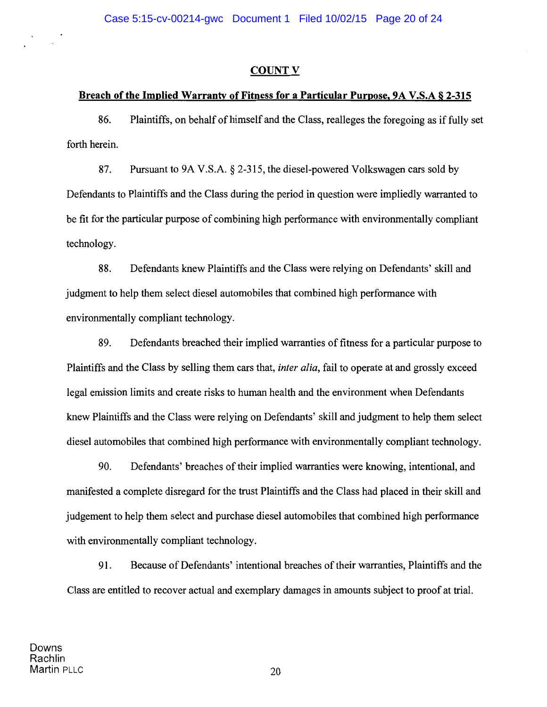### **COUNT V**

## Breach of the Implied Warranty of Fitness for a Particular Purpose, 9A V.S.A § 2-315

86. Plaintiffs, on behalf of himself and the Class, realleges the foregoing as if fully set forth herein.

87. Pursuant to 9A V.S.A. § 2-315, the diesel-powered Volkswagen cars sold by Defendants to Plaintiffs and the Class during the period in question were impliedly warranted to be fit for the particular purpose of combining high performance with environmentally compliant technology.

88. Defendants knew Plaintiffs and the Class were relying on Defendants' skill and judgment to help them select diesel automobiles that combined high performance with environmentally compliant technology.

89. Defendants breached their implied warranties of fitness for a particular purpose to Plaintiffs and the Class by selling them cars that, *inter alia,* fail to operate at and grossly exceed legal emission limits and create risks to human health and the environment when Defendants knew Plaintiffs and the Class were relying on Defendants' skill and judgment to help them select diesel automobiles that combined high performance with environmentally compliant technology.

90. Defendants' breaches of their implied warranties were knowing, intentional, and manifested a complete disregard for the trust Plaintiffs and the Class had placed in their skill and judgement to help them select and purchase diesel automobiles that combined high performance with environmentally compliant technology.

91. Because of Defendants' intentional breaches of their warranties, Plaintiffs and the Class are entitled to recover actual and exemplary damages in amounts subject to proof at trial.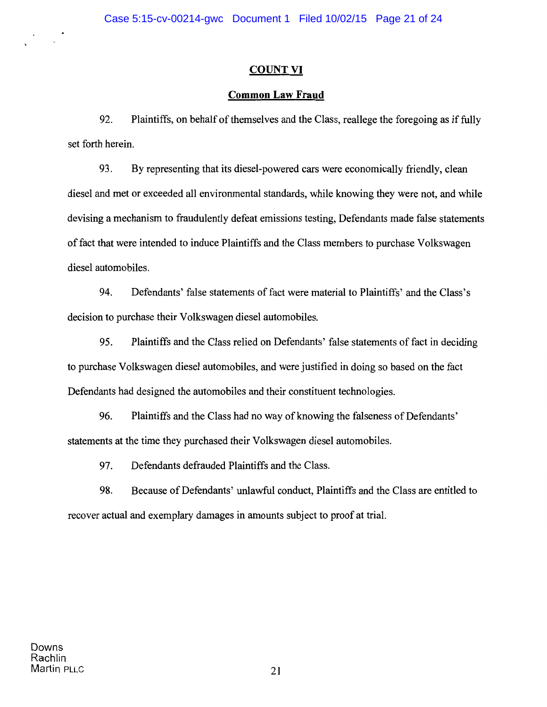# **COUNT VI**

# **Common Law Fraud**

92. Plaintiffs, on behalf of themselves and the Class, reallege the foregoing as if fully set forth herein.

93. By representing that its diesel-powered cars were economically friendly, clean diesel and met or exceeded all environmental standards, while knowing they were not, and while devising a mechanism to fraudulently defeat emissions testing, Defendants made false statements of fact that were intended to induce Plaintiffs and the Class members to purchase Volkswagen diesel automobiles.

94. Defendants' false statements of fact were material to Plaintiffs' and the Class's decision to purchase their Volkswagen diesel automobiles.

95. Plaintiffs and the Class relied on Defendants' false statements of fact in deciding to purchase Volkswagen diesel automobiles, and were justified in doing so based on the fact Defendants had designed the automobiles and their constituent technologies.

96. Plaintiffs and the Class had no way of knowing the falseness of Defendants' statements at the time they purchased their Volkswagen diesel automobiles.

97. Defendants defrauded Plaintiffs and the Class.

98. Because of Defendants' unlawful conduct, Plaintiffs and the Class are entitled to recover actual and exemplary damages in amounts subject to proof at trial.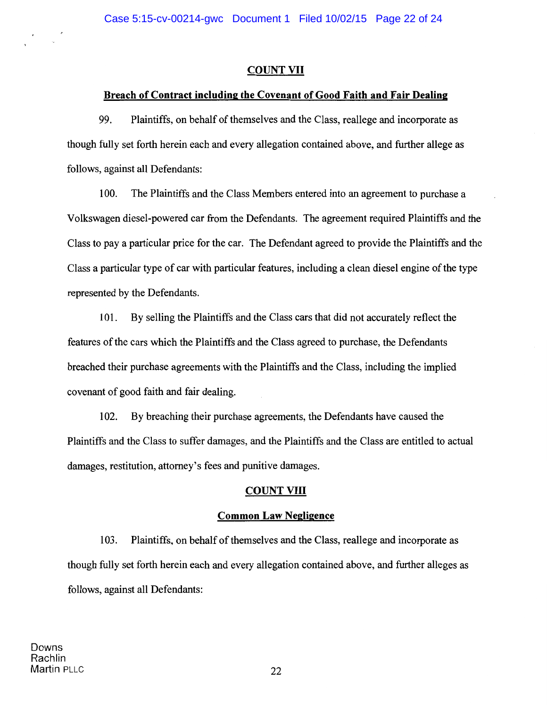### COUNT VII

### Breach of Contract including the Covenant of Good Faith and Fair Dealing

99. Plaintiffs, on behalf of themselves and the Class, reallege and incorporate as though fully set forth herein each and every allegation contained above, and further allege as follows, against all Defendants:

100. The Plaintiffs and the Class Members entered into an agreement to purchase a Volkswagen diesel-powered car from the Defendants. The agreement required Plaintiffs and the Class to pay a particular price for the car. The Defendant agreed to provide the Plaintiffs and the Class a particular type of car with particular features, including a clean diesel engine of the type represented by the Defendants.

101. By selling the Plaintiffs and the Class cars that did not accurately reflect the features of the cars which the Plaintiffs and the Class agreed to purchase, the Defendants breached their purchase agreements with the Plaintiffs and the Class, including the implied covenant of good faith and fair dealing.

102. By breaching their purchase agreements, the Defendants have caused the Plaintiffs and the Class to suffer damages, and the Plaintiffs and the Class are entitled to actual damages, restitution, attorney's fees and punitive damages.

### COUNT VIII

### Common Law Negligence

103. Plaintiffs, on behalf of themselves and the Class, reallege and incorporate as though fully set forth herein each and every allegation contained above, and further alleges as follows, against all Defendants: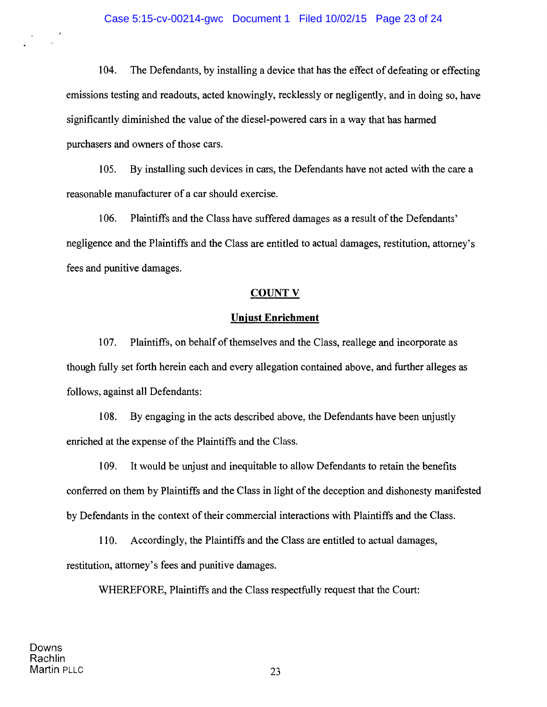#### Case 5:15-cv-00214-gwc Document 1 Filed 10/02/15 Page 23 of 24

104. The Defendants, by installing a device that has the effect of defeating or effecting emissions testing and readouts, acted knowingly, recklessly or negligently, and in doing so, have significantly diminished the value of the diesel-powered cars in a way that has harmed purchasers and owners of those cars.

105. By installing such devices in cars, the Defendants have not acted with the care a reasonable manufacturer of a car should exercise.

106. Plaintiffs and the Class have suffered damages as a result of the Defendants' negligence and the Plaintiffs and the Class are entitled to actual damages, restitution, attorney's fees and punitive damages.

#### **COUNTV**

#### **Unjust Enrichment**

107. Plaintiffs, on behalf of themselves and the Class, reallege and incorporate as though fully set forth herein each and every allegation contained above, and further alleges as follows, against all Defendants:

108. By engaging in the acts described above, the Defendants have been unjustly enriched at the expense of the Plaintiffs and the Class.

109. It would be unjust and inequitable to allow Defendants to retain the benefits conferred on them by Plaintiffs and the Class in light of the deception and dishonesty manifested by Defendants in the context of their commercial interactions with Plaintiffs and the Class.

110. Accordingly, the Plaintiffs and the Class are entitled to actual damages, restitution, attorney's fees and punitive damages.

WHEREFORE, Plaintiffs and the Class respectfully request that the Court:

23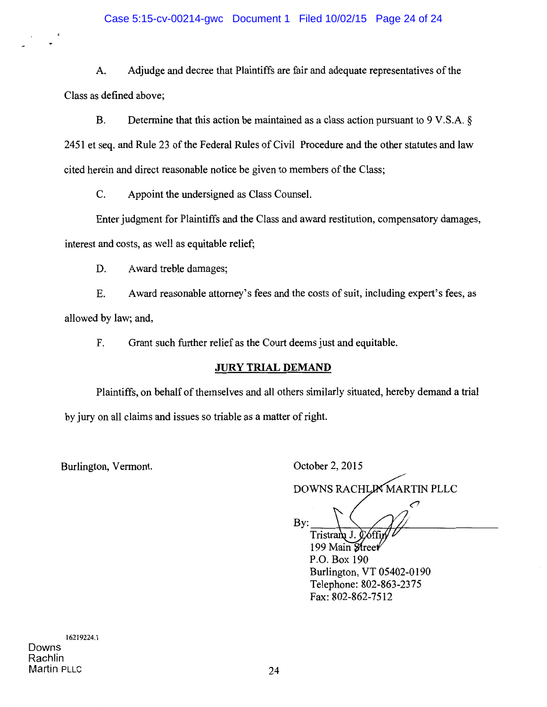## Case 5:15-cv-00214-gwc Document 1 Filed 10/02/15 Page 24 of 24

A. Adjudge and decree that Plaintiffs are fair and adequate representatives of the Class as defined above;

B. Determine that this action be maintained as a class action pursuant to 9 V.S.A. § 2451 et seq. and Rule 23 of the Federal Rules of Civil Procedure and the other statutes and law cited herein and direct reasonable notice be given to members of the Class;

C. Appoint the undersigned as Class Counsel.

Enter judgment for Plaintiffs and the Class and award restitution, compensatory damages, interest and costs, as well as equitable relief;

D. Award treble damages;

E. Award reasonable attorney's fees and the costs of suit, including expert's fees, as allowed by law; and,

F. Grant such further relief as the Court deems just and equitable.

## **JURY TRIAL DEMAND**

Plaintiffs, on behalf of themselves and all others similarly situated, hereby demand a trial by jury on all claims and issues so triable as a matter of right.

Burlington, Vermont.

October 2, 2015

DOWNS RACHLIN MARTIN PLLC

Telephone: 802-863-2375

Fax: 802-862-7512

╭  $\frac{By:}{Tristran}$  J. Ooffin 199 Main Street P.O. Box 190 Burlington, VT 05402-0190

16219224.1 Downs Rachlin Martin PLLC 24